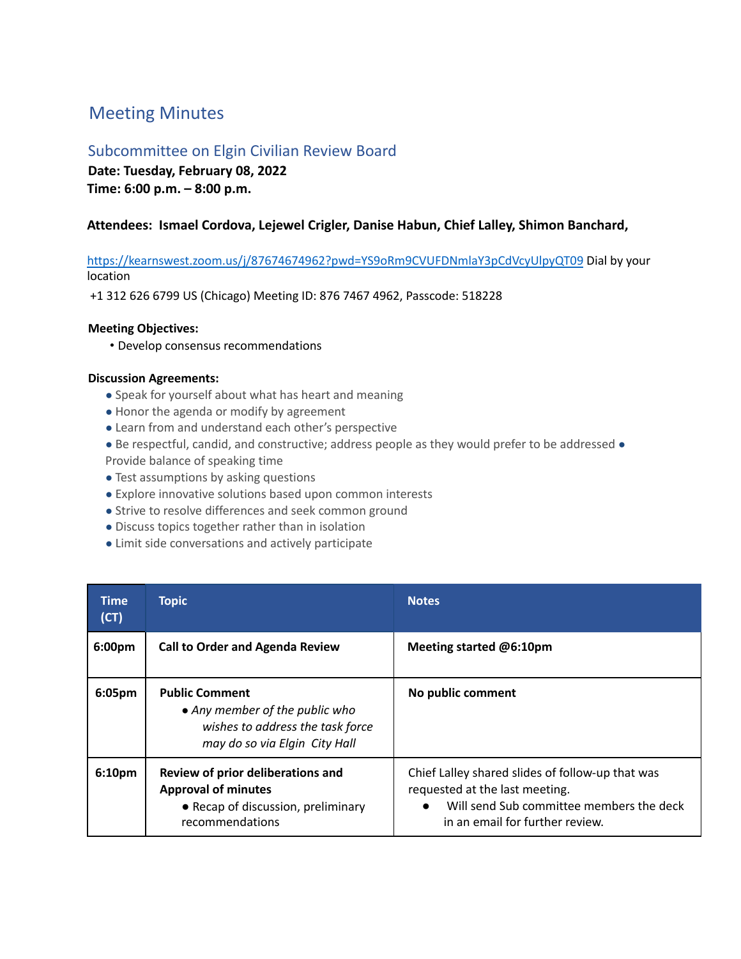# Meeting Minutes

# Subcommittee on Elgin Civilian Review Board

**Date: Tuesday, February 08, 2022 Time: 6:00 p.m. – 8:00 p.m.**

## **Attendees: Ismael Cordova, Lejewel Crigler, Danise Habun, Chief Lalley, Shimon Banchard,**

https://kearnswest.zoom.us/j/87674674962?pwd=YS9oRm9CVUFDNmlaY3pCdVcyUlpyQT09 Dial by your location

+1 312 626 6799 US (Chicago) Meeting ID: 876 7467 4962, Passcode: 518228

### **Meeting Objectives:**

• Develop consensus recommendations

#### **Discussion Agreements:**

- Speak for yourself about what has heart and meaning
- Honor the agenda or modify by agreement
- Learn from and understand each other's perspective
- Be respectful, candid, and constructive; address people as they would prefer to be addressed Provide balance of speaking time
- Test assumptions by asking questions
- Explore innovative solutions based upon common interests
- Strive to resolve differences and seek common ground
- Discuss topics together rather than in isolation
- Limit side conversations and actively participate

| <b>Time</b><br>(CT) | <b>Topic</b>                                                                                                                 | Notes.                                                                                                                                                                         |
|---------------------|------------------------------------------------------------------------------------------------------------------------------|--------------------------------------------------------------------------------------------------------------------------------------------------------------------------------|
| 6:00pm              | <b>Call to Order and Agenda Review</b>                                                                                       | Meeting started @6:10pm                                                                                                                                                        |
| 6:05 <sub>pm</sub>  | <b>Public Comment</b><br>• Any member of the public who<br>wishes to address the task force<br>may do so via Elgin City Hall | No public comment                                                                                                                                                              |
| 6:10pm              | Review of prior deliberations and<br><b>Approval of minutes</b><br>• Recap of discussion, preliminary<br>recommendations     | Chief Lalley shared slides of follow-up that was<br>requested at the last meeting.<br>Will send Sub committee members the deck<br>$\bullet$<br>in an email for further review. |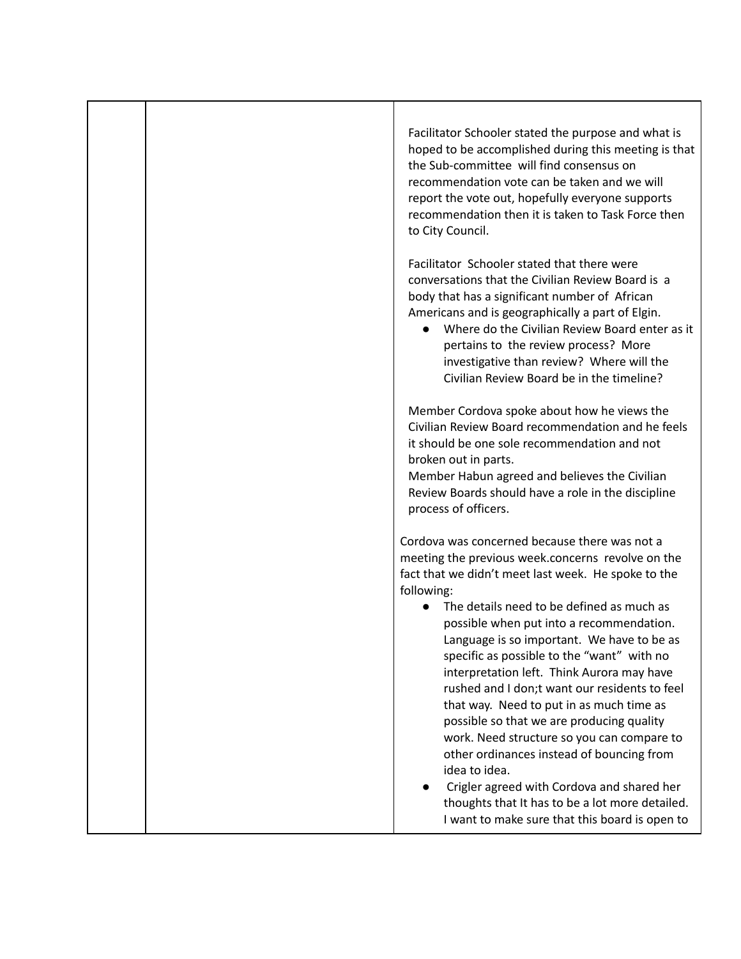| Facilitator Schooler stated the purpose and what is<br>hoped to be accomplished during this meeting is that<br>the Sub-committee will find consensus on<br>recommendation vote can be taken and we will<br>report the vote out, hopefully everyone supports<br>recommendation then it is taken to Task Force then<br>to City Council.                                                                                                                                                                                                                                                                                                                                                                                                                                                                               |
|---------------------------------------------------------------------------------------------------------------------------------------------------------------------------------------------------------------------------------------------------------------------------------------------------------------------------------------------------------------------------------------------------------------------------------------------------------------------------------------------------------------------------------------------------------------------------------------------------------------------------------------------------------------------------------------------------------------------------------------------------------------------------------------------------------------------|
| Facilitator Schooler stated that there were<br>conversations that the Civilian Review Board is a<br>body that has a significant number of African<br>Americans and is geographically a part of Elgin.<br>• Where do the Civilian Review Board enter as it<br>pertains to the review process? More<br>investigative than review? Where will the<br>Civilian Review Board be in the timeline?                                                                                                                                                                                                                                                                                                                                                                                                                         |
| Member Cordova spoke about how he views the<br>Civilian Review Board recommendation and he feels<br>it should be one sole recommendation and not<br>broken out in parts.<br>Member Habun agreed and believes the Civilian<br>Review Boards should have a role in the discipline<br>process of officers.                                                                                                                                                                                                                                                                                                                                                                                                                                                                                                             |
| Cordova was concerned because there was not a<br>meeting the previous week.concerns revolve on the<br>fact that we didn't meet last week. He spoke to the<br>following:<br>The details need to be defined as much as<br>possible when put into a recommendation.<br>Language is so important. We have to be as<br>specific as possible to the "want" with no<br>interpretation left. Think Aurora may have<br>rushed and I don;t want our residents to feel<br>that way. Need to put in as much time as<br>possible so that we are producing quality<br>work. Need structure so you can compare to<br>other ordinances instead of bouncing from<br>idea to idea.<br>Crigler agreed with Cordova and shared her<br>thoughts that It has to be a lot more detailed.<br>I want to make sure that this board is open to |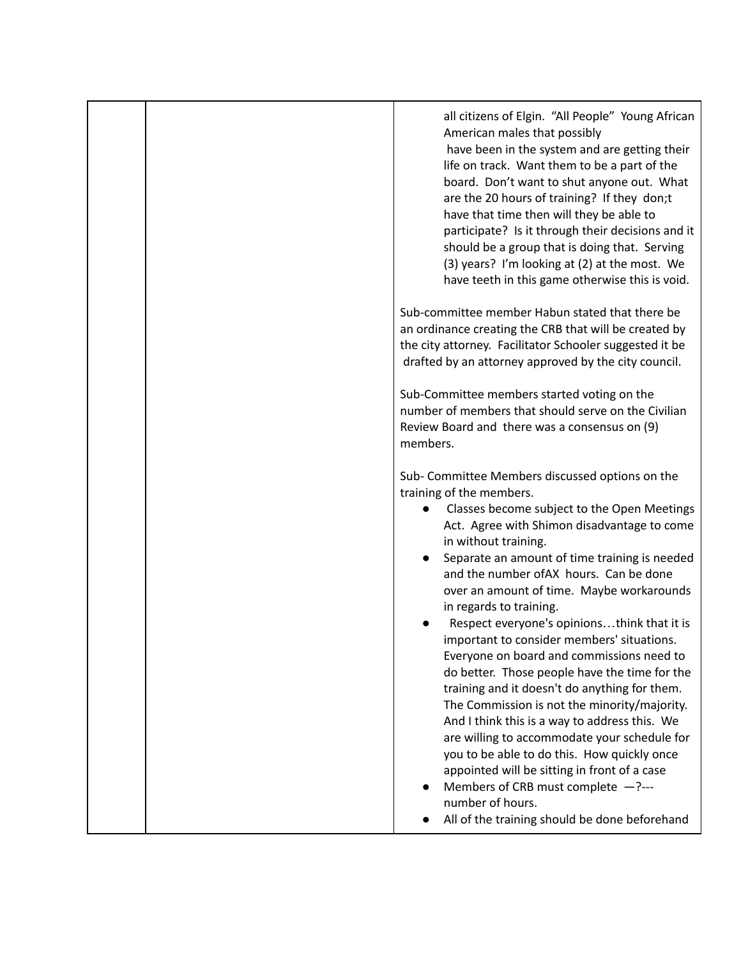| all citizens of Elgin. "All People" Young African<br>American males that possibly<br>have been in the system and are getting their<br>life on track. Want them to be a part of the<br>board. Don't want to shut anyone out. What<br>are the 20 hours of training? If they don;t<br>have that time then will they be able to<br>participate? Is it through their decisions and it<br>should be a group that is doing that. Serving<br>(3) years? I'm looking at (2) at the most. We<br>have teeth in this game otherwise this is void.                                                                                                                                                                                                                                                                                                                                                                                                                                           |
|---------------------------------------------------------------------------------------------------------------------------------------------------------------------------------------------------------------------------------------------------------------------------------------------------------------------------------------------------------------------------------------------------------------------------------------------------------------------------------------------------------------------------------------------------------------------------------------------------------------------------------------------------------------------------------------------------------------------------------------------------------------------------------------------------------------------------------------------------------------------------------------------------------------------------------------------------------------------------------|
| Sub-committee member Habun stated that there be<br>an ordinance creating the CRB that will be created by<br>the city attorney. Facilitator Schooler suggested it be<br>drafted by an attorney approved by the city council.                                                                                                                                                                                                                                                                                                                                                                                                                                                                                                                                                                                                                                                                                                                                                     |
| Sub-Committee members started voting on the<br>number of members that should serve on the Civilian<br>Review Board and there was a consensus on (9)<br>members.                                                                                                                                                                                                                                                                                                                                                                                                                                                                                                                                                                                                                                                                                                                                                                                                                 |
| Sub- Committee Members discussed options on the<br>training of the members.<br>Classes become subject to the Open Meetings<br>Act. Agree with Shimon disadvantage to come<br>in without training.<br>Separate an amount of time training is needed<br>and the number of AX hours. Can be done<br>over an amount of time. Maybe workarounds<br>in regards to training.<br>Respect everyone's opinionsthink that it is<br>important to consider members' situations.<br>Everyone on board and commissions need to<br>do better. Those people have the time for the<br>training and it doesn't do anything for them.<br>The Commission is not the minority/majority.<br>And I think this is a way to address this. We<br>are willing to accommodate your schedule for<br>you to be able to do this. How quickly once<br>appointed will be sitting in front of a case<br>Members of CRB must complete $-$ ?---<br>number of hours.<br>All of the training should be done beforehand |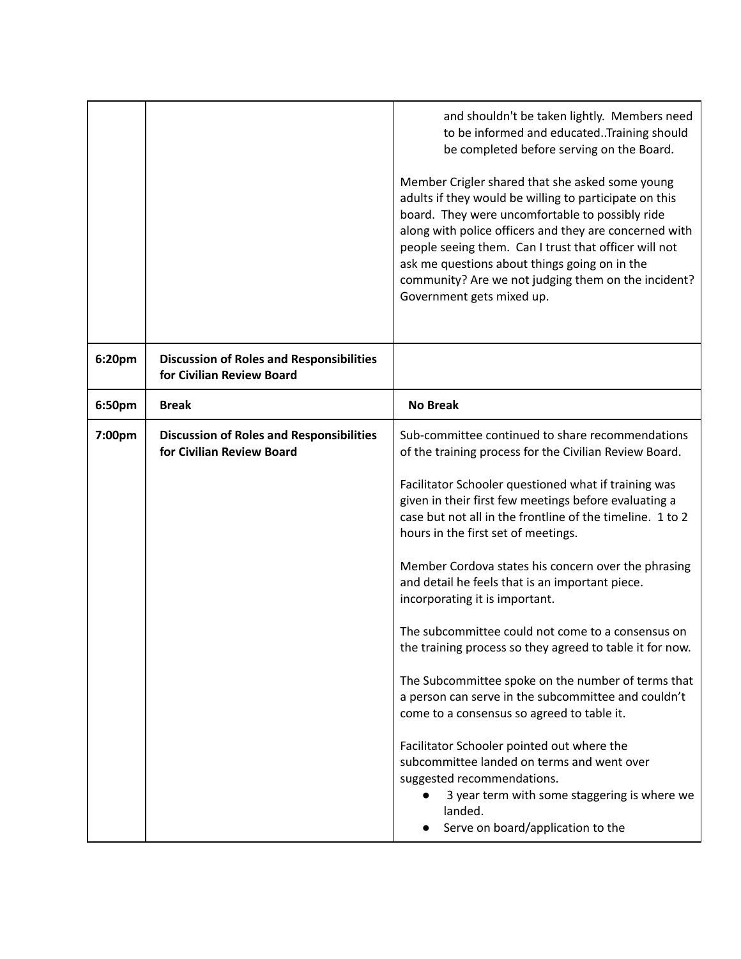|        |                                                                              | and shouldn't be taken lightly. Members need<br>to be informed and educated. Training should<br>be completed before serving on the Board.<br>Member Crigler shared that she asked some young<br>adults if they would be willing to participate on this<br>board. They were uncomfortable to possibly ride<br>along with police officers and they are concerned with<br>people seeing them. Can I trust that officer will not<br>ask me questions about things going on in the<br>community? Are we not judging them on the incident?<br>Government gets mixed up.                                                                                                                                                                                                                                                                                                                                                                                                                 |
|--------|------------------------------------------------------------------------------|-----------------------------------------------------------------------------------------------------------------------------------------------------------------------------------------------------------------------------------------------------------------------------------------------------------------------------------------------------------------------------------------------------------------------------------------------------------------------------------------------------------------------------------------------------------------------------------------------------------------------------------------------------------------------------------------------------------------------------------------------------------------------------------------------------------------------------------------------------------------------------------------------------------------------------------------------------------------------------------|
| 6:20pm | <b>Discussion of Roles and Responsibilities</b><br>for Civilian Review Board |                                                                                                                                                                                                                                                                                                                                                                                                                                                                                                                                                                                                                                                                                                                                                                                                                                                                                                                                                                                   |
| 6:50pm | <b>Break</b>                                                                 | <b>No Break</b>                                                                                                                                                                                                                                                                                                                                                                                                                                                                                                                                                                                                                                                                                                                                                                                                                                                                                                                                                                   |
| 7:00pm | <b>Discussion of Roles and Responsibilities</b><br>for Civilian Review Board | Sub-committee continued to share recommendations<br>of the training process for the Civilian Review Board.<br>Facilitator Schooler questioned what if training was<br>given in their first few meetings before evaluating a<br>case but not all in the frontline of the timeline. 1 to 2<br>hours in the first set of meetings.<br>Member Cordova states his concern over the phrasing<br>and detail he feels that is an important piece.<br>incorporating it is important.<br>The subcommittee could not come to a consensus on<br>the training process so they agreed to table it for now.<br>The Subcommittee spoke on the number of terms that<br>a person can serve in the subcommittee and couldn't<br>come to a consensus so agreed to table it.<br>Facilitator Schooler pointed out where the<br>subcommittee landed on terms and went over<br>suggested recommendations.<br>3 year term with some staggering is where we<br>landed.<br>Serve on board/application to the |